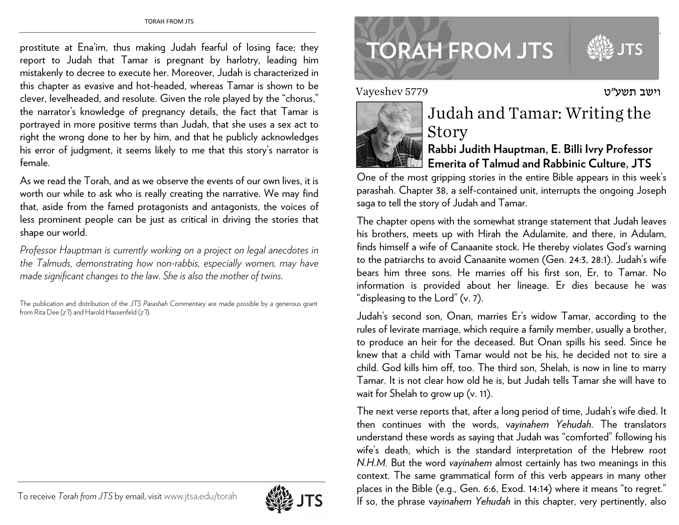prostitute at Ena'im, thus making Judah fearful of losing face; they report to Judah that Tamar is pregnant by harlotry, leading him mistakenly to decree to execute her. Moreover, Judah is characterized in this chapter as evasive and hot-headed, whereas Tamar is shown to be clever, levelheaded, and resolute. Given the role played by the "chorus," the narrator's knowledge of pregnancy details, the fact that Tamar is portrayed in more positive terms than Judah, that she uses a sex act to right the wrong done to her by him, and that he publicly acknowledges his error of judgment, it seems likely to me that this story's narrator is female.

As we read the Torah, and as we observe the events of our own lives, it is worth our while to ask who is really creating the narrative. We may find that, aside from the famed protagonists and antagonists, the voices of less prominent people can be just as critical in driving the stories that shape our world.

*Professor Hauptman is currently working on a project on legal anecdotes in the Talmuds, demonstrating how non-rabbis, especially women, may have made significant changes to the law. She is also the mother of twins.* 

The publication and distribution of the *JTS Parashah Commentary* are made possible by a generous grant from Rita Dee (*z"l*) and Harold Hassenfeld (*z"l*).



## **TORAH FROM JTS**

Vayeshev 5779

www.jtsa.edu/torah international contractors and the contractors of the contractors of the contractors of the contractors of the contractors of the contractors of the contractors of the contractors of the contractors of th



## Judah and Tamar: Writing the Story

## **Rabbi Judith Hauptman, E. Billi Ivry Professor Emerita of Talmud and Rabbinic Culture, JTS**

One of the most gripping stories in the entire Bible appears in this week's parashah. Chapter 38, a self-contained unit, interrupts the ongoing Joseph saga to tell the story of Judah and Tamar.

The chapter opens with the somewhat strange statement that Judah leaves his brothers, meets up with Hirah the Adulamite, and there, in Adulam, finds himself a wife of Canaanite stock. He thereby violates God's warning to the patriarchs to avoid Canaanite women (Gen. 24:3, 28:1). Judah's wife bears him three sons. He marries off his first son, Er, to Tamar. No information is provided about her lineage. Er dies because he was "displeasing to the Lord" (v. 7).

Judah's second son, Onan, marries Er's widow Tamar, according to the rules of levirate marriage, which require a family member, usually a brother, to produce an heir for the deceased. But Onan spills his seed. Since he knew that a child with Tamar would not be his, he decided not to sire a child. God kills him off, too. The third son, Shelah, is now in line to marry Tamar. It is not clear how old he is, but Judah tells Tamar she will have to wait for Shelah to grow up (v. 11).

The next verse reports that, after a long period of time, Judah's wife died. It then continues with the words, v*ayinahem Yehudah*. The translators understand these words as saying that Judah was "comforted" following his wife's death, which is the standard interpretation of the Hebrew root *N.H.M.* But the word *vayinahem* almost certainly has two meanings in this context. The same grammatical form of this verb appears in many other <sup>p</sup>laces in the Bible (e.g., Gen. 6:6, Exod. 14:14) where it means "to regret." If so, the phrase v*ayinahem Yehudah* in this chapter, very pertinently, also

וישב תשע"ט